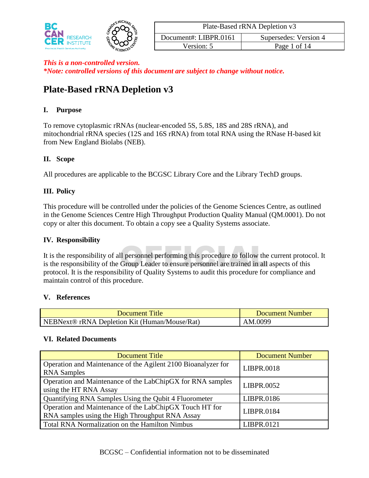

| Plate-Based rRNA Depletion v3                  |  |  |  |  |  |
|------------------------------------------------|--|--|--|--|--|
| Document#: LIBPR.0161<br>Supersedes: Version 4 |  |  |  |  |  |
| Version: 5<br>Page 1 of 14                     |  |  |  |  |  |

# **Plate-Based rRNA Depletion v3**

#### **I. Purpose**

To remove cytoplasmic rRNAs (nuclear-encoded 5S, 5.8S, 18S and 28S rRNA), and mitochondrial rRNA species (12S and 16S rRNA) from total RNA using the RNase H-based kit from New England Biolabs (NEB).

#### **II. Scope**

All procedures are applicable to the BCGSC Library Core and the Library TechD groups.

## **III. Policy**

This procedure will be controlled under the policies of the Genome Sciences Centre, as outlined in the Genome Sciences Centre High Throughput Production Quality Manual (QM.0001). Do not copy or alter this document. To obtain a copy see a Quality Systems associate.

#### **IV. Responsibility**

Il personnel performing this procedure to follow the<br>Group Leader to ensure personnel are trained in all It is the responsibility of all personnel performing this procedure to follow the current protocol. It is the responsibility of the Group Leader to ensure personnel are trained in all aspects of this protocol. It is the responsibility of Quality Systems to audit this procedure for compliance and maintain control of this procedure.

#### **V. References**

| <b>Document Title</b>                                     | Document Number |
|-----------------------------------------------------------|-----------------|
| NEBNext <sup>®</sup> rRNA Depletion Kit (Human/Mouse/Rat) | AM.0099         |

#### **VI. Related Documents**

| <b>Document Title</b>                                         | <b>Document Number</b> |  |
|---------------------------------------------------------------|------------------------|--|
| Operation and Maintenance of the Agilent 2100 Bioanalyzer for | LIBPR.0018             |  |
| <b>RNA</b> Samples                                            |                        |  |
| Operation and Maintenance of the LabChipGX for RNA samples    | LIBPR.0052             |  |
| using the HT RNA Assay                                        |                        |  |
| Quantifying RNA Samples Using the Qubit 4 Fluorometer         | LIBPR.0186             |  |
| Operation and Maintenance of the LabChipGX Touch HT for       | LIBPR.0184             |  |
| RNA samples using the High Throughput RNA Assay               |                        |  |
| <b>Total RNA Normalization on the Hamilton Nimbus</b>         | LIBPR.0121             |  |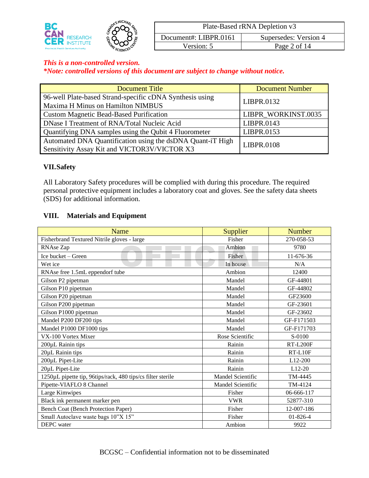

| Plate-Based rRNA Depletion v3                  |  |  |  |  |  |
|------------------------------------------------|--|--|--|--|--|
| Document#: LIBPR.0161<br>Supersedes: Version 4 |  |  |  |  |  |
| Version: 5<br>Page 2 of 14                     |  |  |  |  |  |

*\*Note: controlled versions of this document are subject to change without notice.*

| <b>Document Title</b>                                                                                      | <b>Document Number</b> |  |
|------------------------------------------------------------------------------------------------------------|------------------------|--|
| 96-well Plate-based Strand-specific cDNA Synthesis using                                                   | LIBPR.0132             |  |
| Maxima H Minus on Hamilton NIMBUS                                                                          |                        |  |
| <b>Custom Magnetic Bead-Based Purification</b>                                                             | LIBPR WORKINST.0035    |  |
| DNase I Treatment of RNA/Total Nucleic Acid                                                                | LIBPR.0143             |  |
| Quantifying DNA samples using the Qubit 4 Fluorometer                                                      | LIBPR.0153             |  |
| Automated DNA Quantification using the dsDNA Quant-iT High<br>Sensitivity Assay Kit and VICTOR3V/VICTOR X3 | <b>LIBPR.0108</b>      |  |

#### **VII.Safety**

All Laboratory Safety procedures will be complied with during this procedure. The required personal protective equipment includes a laboratory coat and gloves. See the safety data sheets (SDS) for additional information.

#### **VIII. Materials and Equipment**

| Name                                                        | Supplier          | <b>Number</b>   |
|-------------------------------------------------------------|-------------------|-----------------|
| Fisherbrand Textured Nitrile gloves - large                 | Fisher            | 270-058-53      |
| RNAse Zap                                                   | Ambion            | 9780            |
| Ice bucket - Green                                          | Fisher            | 11-676-36       |
| Wet ice                                                     | In house          | N/A             |
| RNAse free 1.5mL eppendorf tube                             | Ambion            | 12400           |
| Gilson P2 pipetman                                          | Mandel            | GF-44801        |
| Gilson P10 pipetman                                         | Mandel            | GF-44802        |
| Gilson P20 pipetman                                         | Mandel            | GF23600         |
| Gilson P200 pipetman                                        | Mandel            | GF-23601        |
| Gilson P1000 pipetman                                       | Mandel            | GF-23602        |
| Mandel P200 DF200 tips                                      | Mandel            | GF-F171503      |
| Mandel P1000 DF1000 tips                                    | Mandel            | GF-F171703      |
| VX-100 Vortex Mixer                                         | Rose Scientific   | S-0100          |
| 200µL Rainin tips                                           | Rainin            | <b>RT-L200F</b> |
| 20µL Rainin tips                                            | Rainin            | $RT-L10F$       |
| 200µL Pipet-Lite                                            | Rainin            | $L12-200$       |
| 20µL Pipet-Lite                                             | Rainin            | L12-20          |
| 1250µL pipette tip, 96tips/rack, 480 tips/cs filter sterile | Mandel Scientific | TM-4445         |
| Pipette-VIAFLO 8 Channel                                    | Mandel Scientific | TM-4124         |
| Large Kimwipes                                              | Fisher            | 06-666-117      |
| Black ink permanent marker pen                              | <b>VWR</b>        | 52877-310       |
| Bench Coat (Bench Protection Paper)                         | Fisher            | 12-007-186      |
| Small Autoclave waste bags 10"X 15"                         | Fisher            | 01-826-4        |
| DEPC water                                                  | Ambion            | 9922            |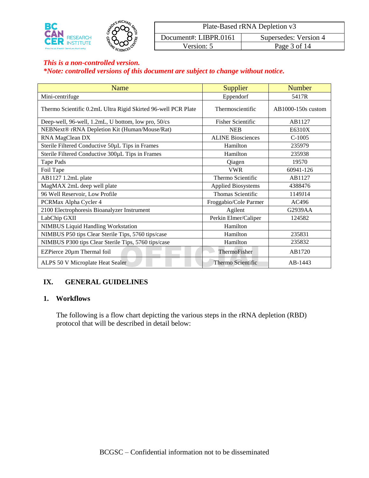

| Plate-Based rRNA Depletion v3                  |  |  |  |  |  |
|------------------------------------------------|--|--|--|--|--|
| Document#: LIBPR.0161<br>Supersedes: Version 4 |  |  |  |  |  |
| Page 3 of 14<br>Version: 5                     |  |  |  |  |  |

# *\*Note: controlled versions of this document are subject to change without notice.*

| Name                                                          | Supplier                  | <b>Number</b>      |
|---------------------------------------------------------------|---------------------------|--------------------|
| Mini-centrifuge                                               | Eppendorf                 | 5417R              |
| Thermo Scientific 0.2mL Ultra Rigid Skirted 96-well PCR Plate | Thermoscientific          | AB1000-150s custom |
| Deep-well, 96-well, 1.2mL, U bottom, low pro, 50/cs           | <b>Fisher Scientific</b>  | AB1127             |
| NEBNext® rRNA Depletion Kit (Human/Mouse/Rat)                 | <b>NEB</b>                | E6310X             |
| RNA MagClean DX                                               | <b>ALINE Biosciences</b>  | $C-1005$           |
| Sterile Filtered Conductive 50µL Tips in Frames               | Hamilton                  | 235979             |
| Sterile Filtered Conductive 300µL Tips in Frames              | Hamilton                  | 235938             |
| Tape Pads                                                     | Qiagen                    | 19570              |
| Foil Tape                                                     | <b>VWR</b>                | 60941-126          |
| AB1127 1.2mL plate                                            | Thermo Scientific         | AB1127             |
| MagMAX 2mL deep well plate                                    | <b>Applied Biosystems</b> | 4388476            |
| 96 Well Reservoir, Low Profile                                | Thomas Scientific         | 1149J14            |
| PCRMax Alpha Cycler 4                                         | Froggabio/Cole Parmer     | AC496              |
| 2100 Electrophoresis Bioanalyzer Instrument                   | Agilent                   | G2939AA            |
| LabChip GXII                                                  | Perkin Elmer/Caliper      | 124582             |
| <b>NIMBUS Liquid Handling Workstation</b>                     | Hamilton                  |                    |
| NIMBUS P50 tips Clear Sterile Tips, 5760 tips/case            | Hamilton                  | 235831             |
| NIMBUS P300 tips Clear Sterile Tips, 5760 tips/case           | Hamilton                  | 235832             |
| EZPierce 20µm Thermal foil                                    | ThermoFisher              | AB1720             |
| ALPS 50 V Microplate Heat Sealer                              | Thermo Scientific         | AB-1443            |

#### **IX. GENERAL GUIDELINES**

#### **1. Workflows**

The following is a flow chart depicting the various steps in the rRNA depletion (RBD) protocol that will be described in detail below: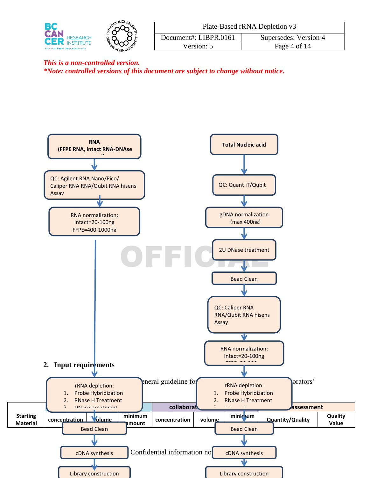

| Plate-Based rRNA Depletion v3                  |              |  |  |  |  |
|------------------------------------------------|--------------|--|--|--|--|
| Document#: LIBPR.0161<br>Supersedes: Version 4 |              |  |  |  |  |
| Version: 5                                     | Page 4 of 14 |  |  |  |  |

*\*Note: controlled versions of this document are subject to change without notice.*

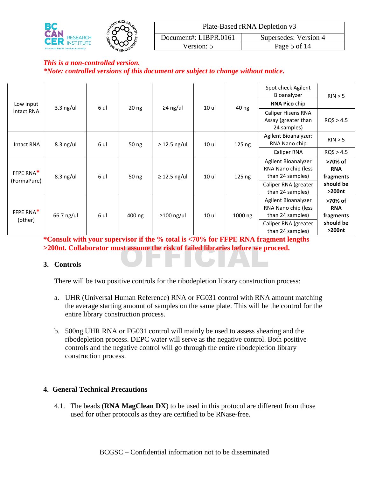

| Plate-Based rRNA Depletion v3                  |              |  |  |  |  |
|------------------------------------------------|--------------|--|--|--|--|
| Document#: LIBPR.0161<br>Supersedes: Version 4 |              |  |  |  |  |
| Version: 5                                     | Page 5 of 14 |  |  |  |  |

| Low input             | 6 ul<br>20 <sub>ng</sub><br>≥4 ng/ul<br>10 ul |      | 40 ng  | Spot check Agilent<br>Bioanalyzer<br><b>RNA Pico chip</b> | RIN > 5 |          |                                                                |                                    |                                          |                     |                                          |                     |
|-----------------------|-----------------------------------------------|------|--------|-----------------------------------------------------------|---------|----------|----------------------------------------------------------------|------------------------------------|------------------------------------------|---------------------|------------------------------------------|---------------------|
| Intact RNA            | $3.3$ ng/ul                                   |      |        |                                                           |         |          | Caliper Hisens RNA<br>Assay (greater than<br>24 samples)       | ROS > 4.5                          |                                          |                     |                                          |                     |
| Intact RNA            | $8.3$ ng/ul                                   | 6 ul | 50 ng  | $\geq$ 12.5 ng/ul                                         | 10 ul   | 125 ng   | Agilent Bioanalyzer:<br>RNA Nano chip                          | RIN > 5                            |                                          |                     |                                          |                     |
|                       |                                               |      |        |                                                           |         |          | Caliper RNA                                                    | ROS > 4.5                          |                                          |                     |                                          |                     |
| FFPE RNA*             | $8.3$ ng/ul                                   | 6 ul | 50 ng  | $\geq$ 12.5 ng/ul                                         | 10 ul   | $125$ ng | Agilent Bioanalyzer<br>RNA Nano chip (less<br>than 24 samples) | >70% of<br><b>RNA</b><br>fragments |                                          |                     |                                          |                     |
| (FormaPure)           |                                               |      |        |                                                           |         |          |                                                                |                                    |                                          |                     | Caliper RNA (greater<br>than 24 samples) | should be<br>>200nt |
| FFPE RNA <sup>*</sup> | 66.7 ng/ul                                    | 6 ul | 400 ng | $\geq$ 100 ng/ul                                          | 10 ul   | 1000 ng  | Agilent Bioanalyzer<br>RNA Nano chip (less<br>than 24 samples) | >70% of<br><b>RNA</b><br>fragments |                                          |                     |                                          |                     |
| (other)               |                                               |      |        |                                                           |         |          |                                                                |                                    | Caliper RNA (greater<br>than 24 samples) | should be<br>>200nt |                                          |                     |

**200nt. Collaborator must assume the risk of failed libraries before we proceed.**<br> **3.** Controls **\*Consult with your supervisor if the % total is <70% for FFPE RNA fragment lengths** 

#### **3. Controls**

There will be two positive controls for the ribodepletion library construction process:

- a. UHR (Universal Human Reference) RNA or FG031 control with RNA amount matching the average starting amount of samples on the same plate. This will be the control for the entire library construction process.
- b. 500ng UHR RNA or FG031 control will mainly be used to assess shearing and the ribodepletion process. DEPC water will serve as the negative control. Both positive controls and the negative control will go through the entire ribodepletion library construction process.

#### **4. General Technical Precautions**

4.1. The beads (**RNA MagClean DX**) to be used in this protocol are different from those used for other protocols as they are certified to be RNase-free.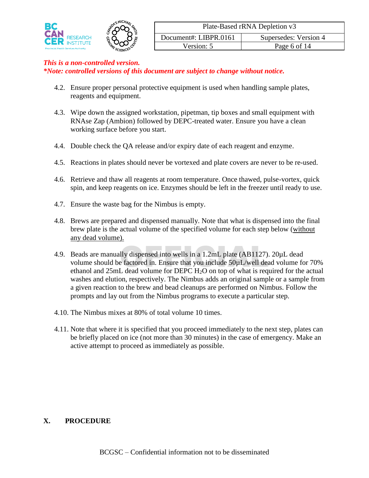

*\*Note: controlled versions of this document are subject to change without notice.*

- 4.2. Ensure proper personal protective equipment is used when handling sample plates, reagents and equipment.
- 4.3. Wipe down the assigned workstation, pipetman, tip boxes and small equipment with RNAse Zap (Ambion) followed by DEPC-treated water. Ensure you have a clean working surface before you start.
- 4.4. Double check the QA release and/or expiry date of each reagent and enzyme.
- 4.5. Reactions in plates should never be vortexed and plate covers are never to be re-used.
- 4.6. Retrieve and thaw all reagents at room temperature. Once thawed, pulse-vortex, quick spin, and keep reagents on ice. Enzymes should be left in the freezer until ready to use.
- 4.7. Ensure the waste bag for the Nimbus is empty.
- 4.8. Brews are prepared and dispensed manually. Note that what is dispensed into the final brew plate is the actual volume of the specified volume for each step below (without any dead volume).
- Ily dispensed into wells in a 1.2mL plate (AB1127).<br>
E factored in. Ensure that you include  $50\mu$ L/well dead volume for DEPC H<sub>2</sub>O on top of what is requ 4.9. Beads are manually dispensed into wells in a 1.2mL plate (AB1127). 20µL dead volume should be factored in. Ensure that you include 50µL/well dead volume for 70% ethanol and 25mL dead volume for DEPC H2O on top of what is required for the actual washes and elution, respectively. The Nimbus adds an original sample or a sample from a given reaction to the brew and bead cleanups are performed on Nimbus. Follow the prompts and lay out from the Nimbus programs to execute a particular step.
- 4.10. The Nimbus mixes at 80% of total volume 10 times.
- 4.11. Note that where it is specified that you proceed immediately to the next step, plates can be briefly placed on ice (not more than 30 minutes) in the case of emergency. Make an active attempt to proceed as immediately as possible.

#### **X. PROCEDURE**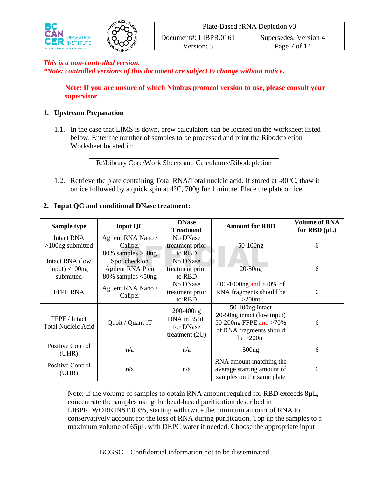

*\*Note: controlled versions of this document are subject to change without notice.*

**Note: If you are unsure of which Nimbus protocol version to use, please consult your supervisor.**

#### **1. Upstream Preparation**

1.1. In the case that LIMS is down, brew calculators can be located on the worksheet listed below. Enter the number of samples to be processed and print the Ribodepletion Worksheet located in:

R:\Library Core\Work Sheets and Calculators\Ribodepletion

1.2. Retrieve the plate containing Total RNA/Total nucleic acid. If stored at -80°C, thaw it on ice followed by a quick spin at 4°C, 700g for 1 minute. Place the plate on ice.

| Sample type                                | <b>Input QC</b>               | <b>DNase</b><br><b>Treatment</b>                               | <b>Amount for RBD</b>                                                                                               | <b>Volume of RNA</b><br>for RBD $(\mu L)$ |
|--------------------------------------------|-------------------------------|----------------------------------------------------------------|---------------------------------------------------------------------------------------------------------------------|-------------------------------------------|
| Intact RNA                                 | Agilent RNA Nano /            | No DNase                                                       |                                                                                                                     |                                           |
| $>100$ ng submitted                        | Caliper                       | treatment prior                                                | $50-100$ ng                                                                                                         | 6                                         |
|                                            | $80\%$ samples $>50$ ng       | to RBD                                                         |                                                                                                                     |                                           |
| Intact RNA (low                            | Spot check on                 | No DNase                                                       |                                                                                                                     |                                           |
| input) $<$ 100ng                           | <b>Agilent RNA Pico</b>       | treatment prior                                                | $20-50ng$                                                                                                           | 6                                         |
| submitted                                  | $80\%$ samples $<$ 50ng       | to RBD                                                         |                                                                                                                     |                                           |
| <b>FFPE RNA</b>                            | Agilent RNA Nano /<br>Caliper | No DNase<br>treatment prior<br>to RBD                          | 400-1000ng and $>70\%$ of<br>RNA fragments should be<br>$>200$ nt                                                   | 6                                         |
| FFPE / Intact<br><b>Total Nucleic Acid</b> | Qubit / Quant-iT              | $200 - 400$ ng<br>DNA in 35µL<br>for DNase<br>treatment $(2U)$ | 50-100ng intact<br>20-50ng intact (low input)<br>50-200ng FFPE and >70%<br>of RNA fragments should<br>$be > 200$ nt | 6                                         |
| <b>Positive Control</b><br>(UHR)           | n/a                           | n/a                                                            | 500ng                                                                                                               | 6                                         |
| Positive Control<br>(UHR)                  | n/a                           | n/a                                                            | RNA amount matching the<br>average starting amount of<br>samples on the same plate                                  | 6                                         |

#### **2. Input QC and conditional DNase treatment:**

Note: If the volume of samples to obtain RNA amount required for RBD exceeds  $8\mu L$ , concentrate the samples using the bead-based purification described in LIBPR\_WORKINST.0035, starting with twice the minimum amount of RNA to conservatively account for the loss of RNA during purification. Top up the samples to a maximum volume of 65µL with DEPC water if needed. Choose the appropriate input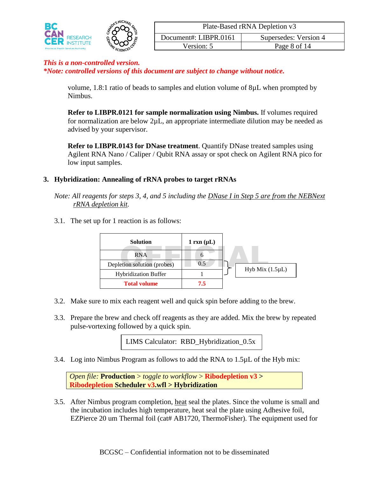

| Plate-Based rRNA Depletion v3                  |  |  |  |  |  |  |
|------------------------------------------------|--|--|--|--|--|--|
| Document#: LIBPR.0161<br>Supersedes: Version 4 |  |  |  |  |  |  |
| Page 8 of 14<br>Version: 5                     |  |  |  |  |  |  |

*\*Note: controlled versions of this document are subject to change without notice.*

volume, 1.8:1 ratio of beads to samples and elution volume of 8µL when prompted by Nimbus.

**Refer to LIBPR.0121 for sample normalization using Nimbus.** If volumes required for normalization are below 2µL, an appropriate intermediate dilution may be needed as advised by your supervisor.

**Refer to LIBPR.0143 for DNase treatment**. Quantify DNase treated samples using Agilent RNA Nano / Caliper / Qubit RNA assay or spot check on Agilent RNA pico for low input samples.

#### **3. Hybridization: Annealing of rRNA probes to target rRNAs**

*Note: All reagents for steps 3, 4, and 5 including the DNase I in Step 5 are from the NEBNext rRNA depletion kit.*

3.1. The set up for 1 reaction is as follows:

| <b>Solution</b>             | $1 \text{ rxn } (\mu L)$ |                       |
|-----------------------------|--------------------------|-----------------------|
| RNA                         |                          |                       |
| Depletion solution (probes) |                          |                       |
| <b>Hybridization Buffer</b> |                          | Hyb Mix $(1.5 \mu L)$ |
| <b>Total volume</b>         | 7.5                      |                       |

- 3.2. Make sure to mix each reagent well and quick spin before adding to the brew.
- 3.3. Prepare the brew and check off reagents as they are added. Mix the brew by repeated pulse-vortexing followed by a quick spin.

LIMS Calculator: RBD\_Hybridization\_0.5x

3.4. Log into Nimbus Program as follows to add the RNA to 1.5µL of the Hyb mix:

*Open file:* **Production** > *toggle to workflow* > **Ribodepletion v3 > Ribodepletion Scheduler v3.wfl > Hybridization**

3.5. After Nimbus program completion, heat seal the plates. Since the volume is small and the incubation includes high temperature, heat seal the plate using Adhesive foil, EZPierce 20 um Thermal foil (cat# AB1720, ThermoFisher). The equipment used for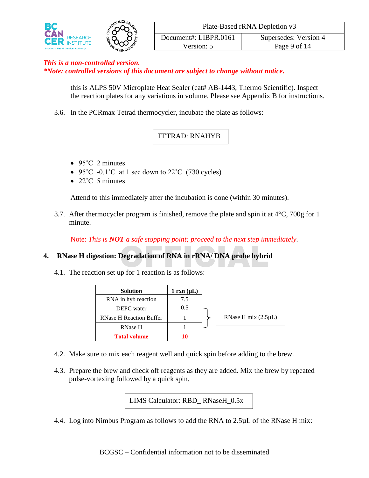

| Plate-Based rRNA Depletion v3                  |  |  |  |  |  |
|------------------------------------------------|--|--|--|--|--|
| Document#: LIBPR.0161<br>Supersedes: Version 4 |  |  |  |  |  |
| Page 9 of 14<br>Version: 5                     |  |  |  |  |  |

*\*Note: controlled versions of this document are subject to change without notice.*

this is ALPS 50V Microplate Heat Sealer (cat# AB-1443, Thermo Scientific). Inspect the reaction plates for any variations in volume. Please see Appendix B for instructions.

3.6. In the PCRmax Tetrad thermocycler, incubate the plate as follows:

# TETRAD: RNAHYB

- $\bullet$  95°C 2 minutes
- 95 $\degree$ C -0.1 $\degree$ C at 1 sec down to 22 $\degree$ C (730 cycles)
- $\bullet$  22°C 5 minutes

Attend to this immediately after the incubation is done (within 30 minutes).

3.7. After thermocycler program is finished, remove the plate and spin it at  $4^{\circ}$ C, 700g for 1 minute.

Note: *This is NOT a safe stopping point; proceed to the next step immediately.*

# Degradation of RNA in rRNA/ DNA probe hybri **4. RNase H digestion: Degradation of RNA in rRNA/ DNA probe hybrid**

4.1. The reaction set up for 1 reaction is as follows:

| <b>Solution</b>                | $1 \text{ rxn } (\mu L)$ |                          |
|--------------------------------|--------------------------|--------------------------|
| RNA in hyb reaction            | 7.5                      |                          |
| DEPC water                     | 0.5                      |                          |
| <b>RNase H Reaction Buffer</b> |                          | RNase H mix $(2.5\mu L)$ |
| <b>RNase H</b>                 |                          |                          |
| <b>Total volume</b>            | 10                       |                          |

- 4.2. Make sure to mix each reagent well and quick spin before adding to the brew.
- 4.3. Prepare the brew and check off reagents as they are added. Mix the brew by repeated pulse-vortexing followed by a quick spin.

LIMS Calculator: RBD\_ RNaseH\_0.5x

4.4. Log into Nimbus Program as follows to add the RNA to 2.5µL of the RNase H mix: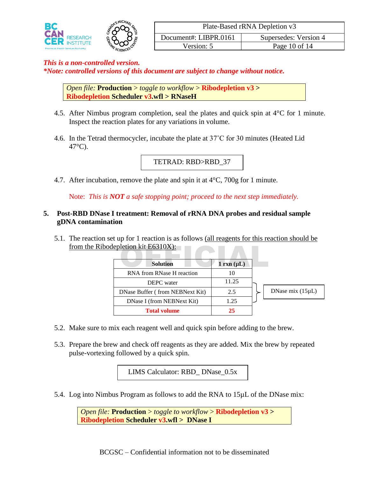

*\*Note: controlled versions of this document are subject to change without notice.*

*Open file:* **Production** > *toggle to workflow* > **Ribodepletion v3 > Ribodepletion Scheduler v3.wfl > RNaseH**

- 4.5. After Nimbus program completion, seal the plates and quick spin at 4°C for 1 minute. Inspect the reaction plates for any variations in volume.
- 4.6. In the Tetrad thermocycler, incubate the plate at 37˚C for 30 minutes (Heated Lid  $47^{\circ}$ C).

TETRAD: RBD>RBD\_37

4.7. After incubation, remove the plate and spin it at  $4^{\circ}$ C, 700g for 1 minute.

Note: *This is NOT a safe stopping point; proceed to the next step immediately.*

#### **5. Post-RBD DNase I treatment: Removal of rRNA DNA probes and residual sample gDNA contamination**

5.1. The reaction set up for 1 reaction is as follows (all reagents for this reaction should be

| from the Ribodepletion kit E6310X): |                          |                       |
|-------------------------------------|--------------------------|-----------------------|
| <b>Solution</b>                     | $1 \text{ rxn } (\mu L)$ |                       |
| RNA from RNase H reaction           | 10                       |                       |
| <b>DEPC</b> water                   | 11.25                    |                       |
| DNase Buffer (from NEBNext Kit)     | 2.5                      | DNase mix $(15\mu L)$ |
| DNase I (from NEBNext Kit)          | 1.25                     |                       |
| <b>Total volume</b>                 | 25                       |                       |

- 5.2. Make sure to mix each reagent well and quick spin before adding to the brew.
- 5.3. Prepare the brew and check off reagents as they are added. Mix the brew by repeated pulse-vortexing followed by a quick spin.

LIMS Calculator: RBD\_ DNase\_0.5x

5.4. Log into Nimbus Program as follows to add the RNA to 15µL of the DNase mix:

*Open file:* **Production** > *toggle to workflow* > **Ribodepletion v3 > Ribodepletion Scheduler v3.wfl > DNase I**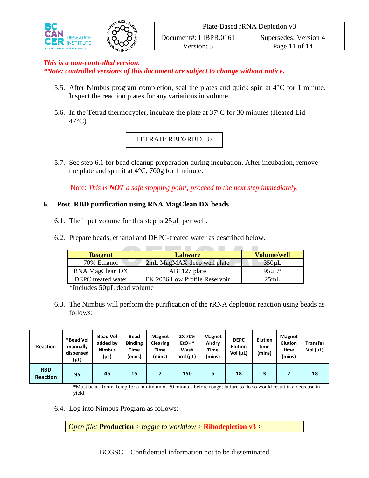

*\*Note: controlled versions of this document are subject to change without notice.*

- 5.5. After Nimbus program completion, seal the plates and quick spin at 4°C for 1 minute. Inspect the reaction plates for any variations in volume.
- 5.6. In the Tetrad thermocycler, incubate the plate at 37°C for 30 minutes (Heated Lid 47°C).

# TETRAD: RBD>RBD\_37

5.7. See step 6.1 for bead cleanup preparation during incubation. After incubation, remove the plate and spin it at  $4^{\circ}$ C, 700g for 1 minute.

Note: *This is NOT a safe stopping point; proceed to the next step immediately.*

#### **6. Post–RBD purification using RNA MagClean DX beads**

- 6.1. The input volume for this step is  $25\mu L$  per well.
- 6.2. Prepare beads, ethanol and DEPC-treated water as described below.

| <b>Reagent</b>            | <b>Labware</b>                | Volume/well |
|---------------------------|-------------------------------|-------------|
| 70% Ethanol               | 2mL MagMAX deep well plate    | $350 \mu L$ |
| RNA MagClean DX           | AB1127 plate                  | $95\mu L^*$ |
| <b>DEPC</b> treated water | EK 2036 Low Profile Reservoir | 25mL        |

\*Includes 50µL dead volume

6.3. The Nimbus will perform the purification of the rRNA depletion reaction using beads as follows:

| <b>Reaction</b>               | *Bead Vol<br>manually<br>dispensed<br>(μL) | <b>Bead Vol</b><br>added by<br><b>Nimbus</b><br>(μL) | <b>Bead</b><br><b>Binding</b><br>Time<br>(mins) | <b>Magnet</b><br><b>Clearing</b><br>Time<br>(mins) | 2X 70%<br>EtOH*<br>Wash<br>Vol $(\mu L)$ | <b>Magnet</b><br>Airdry<br>Time<br>(mins) | <b>DEPC</b><br><b>Elution</b><br>Vol (uL) | <b>Elution</b><br>time<br>(mins) | <b>Magnet</b><br><b>Elution</b><br>time<br>(mins) | <b>Transfer</b><br>Vol $(\mu L)$ |
|-------------------------------|--------------------------------------------|------------------------------------------------------|-------------------------------------------------|----------------------------------------------------|------------------------------------------|-------------------------------------------|-------------------------------------------|----------------------------------|---------------------------------------------------|----------------------------------|
| <b>RBD</b><br><b>Reaction</b> | 95                                         | 45                                                   | 15                                              |                                                    | 150                                      | ь                                         | 18                                        | 3                                |                                                   | 18                               |

\*Must be at Room Temp for a minimum of 30 minutes before usage; failure to do so would result in a decrease in yield

6.4. Log into Nimbus Program as follows:

*Open file:* **Production** > *toggle to workflow* > **Ribodepletion v3 >**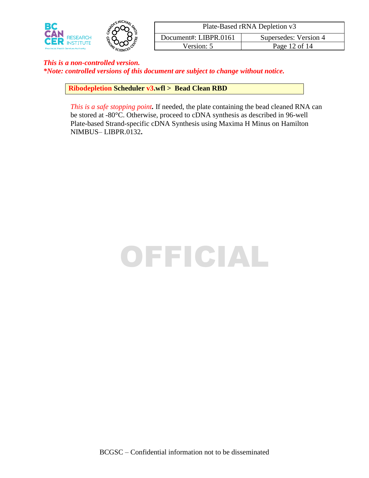

| Plate-Based rRNA Depletion v3                  |  |  |  |  |  |  |
|------------------------------------------------|--|--|--|--|--|--|
| Document#: LIBPR.0161<br>Supersedes: Version 4 |  |  |  |  |  |  |
| Page 12 of 14<br>Version: 5                    |  |  |  |  |  |  |

*\*Note: controlled versions of this document are subject to change without notice.*

**Ribodepletion Scheduler v3.wfl > Bead Clean RBD** 

*This is a safe stopping point.* If needed, the plate containing the bead cleaned RNA can be stored at -80°C. Otherwise, proceed to cDNA synthesis as described in 96-well Plate-based Strand-specific cDNA Synthesis using Maxima H Minus on Hamilton NIMBUS– LIBPR.0132**.**

# OFFICIAL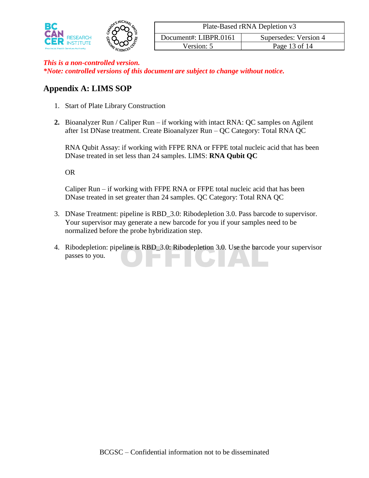

| Plate-Based rRNA Depletion v3                  |  |  |  |  |  |  |
|------------------------------------------------|--|--|--|--|--|--|
| Document#: LIBPR.0161<br>Supersedes: Version 4 |  |  |  |  |  |  |
| Page 13 of 14<br>Version: 5                    |  |  |  |  |  |  |

# **Appendix A: LIMS SOP**

- 1. Start of Plate Library Construction
- **2.** Bioanalyzer Run / Caliper Run if working with intact RNA: QC samples on Agilent after 1st DNase treatment. Create Bioanalyzer Run – QC Category: Total RNA QC

RNA Qubit Assay: if working with FFPE RNA or FFPE total nucleic acid that has been DNase treated in set less than 24 samples. LIMS: **RNA Qubit QC**

OR

Caliper Run – if working with FFPE RNA or FFPE total nucleic acid that has been DNase treated in set greater than 24 samples. QC Category: Total RNA QC

- 3. DNase Treatment: pipeline is RBD\_3.0: Ribodepletion 3.0. Pass barcode to supervisor. Your supervisor may generate a new barcode for you if your samples need to be normalized before the probe hybridization step.
- 4. Ribodepletion: pipeline is RBD\_3.0: Ribodepletion 3.0. Use the barcode your supervisor passes to you. passes to you.